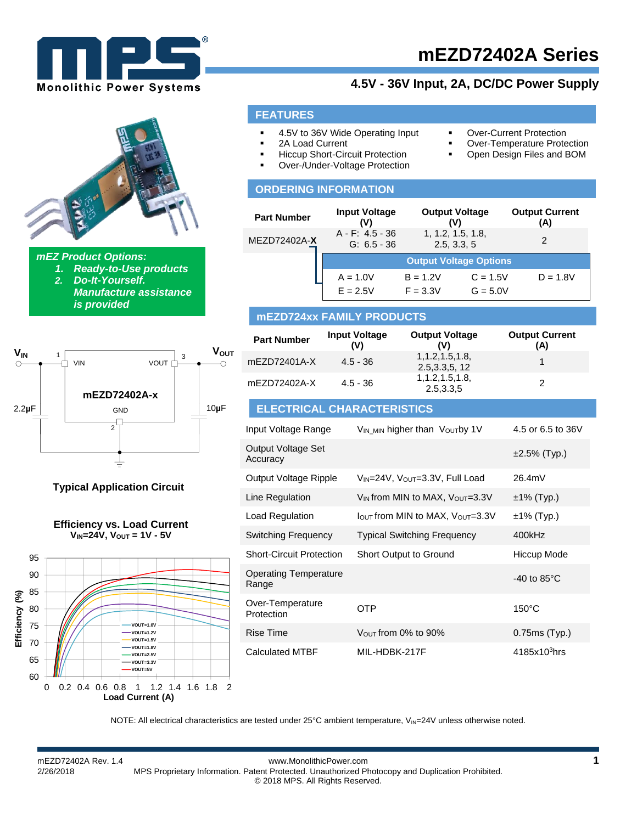

# **4.5V - 36V Input, 2A, DC/DC Power Supply**

*mEZ Product Options: 1. Ready-to-Use products*

*2. Do-It-Yourself. Manufacture assistance is provided*



**Typical Application Circuit**





### **FEATURES**

- 4.5V to 36V Wide Operating Input
	- **•** Over-Current Protection Over-Temperature Protection

Open Design Files and BOM

- 2A Load Current
- Hiccup Short-Circuit Protection
- Over-/Under-Voltage Protection

### **ORDERING INFORMATION**

| <b>Part Number</b> | <b>Input Voltage</b><br>(V)         | <b>Output Voltage</b><br>(V)     |            | <b>Output Current</b><br>(A) |
|--------------------|-------------------------------------|----------------------------------|------------|------------------------------|
| MEZD72402A-X       | $A - F$ : 4.5 - 36<br>$G: 6.5 - 36$ | 1, 1.2, 1.5, 1.8,<br>2.5, 3.3, 5 |            |                              |
|                    |                                     | <b>Output Voltage Options</b>    |            |                              |
|                    | $A = 1.0V$                          | $B = 1.2V$                       | $C = 1.5V$ | $D = 1.8V$                   |
|                    | $E = 2.5V$                          | $F = 3.3V$                       | $G = 5.0V$ |                              |

### **mEZD724xx FAMILY PRODUCTS**

| <b>Part Number</b> | <b>Input Voltage</b><br>(V) | <b>Output Voltage</b><br>۵V)         | <b>Output Current</b><br>(A) |
|--------------------|-----------------------------|--------------------------------------|------------------------------|
| mEZD72401A-X       | $4.5 - 36$                  | 1, 1.2, 1.5, 1.8,<br>2.5, 3.3, 5, 12 |                              |
| mEZD72402A-X       | $4.5 - 36$                  | 1, 1.2, 1.5, 1.8,<br>2.5,3.3,5       |                              |

### **ELECTRICAL CHARACTERISTICS**

| Input Voltage Range                   | V <sub>IN MIN</sub> higher than Voutby 1V               | 4.5 or 6.5 to 36V        |
|---------------------------------------|---------------------------------------------------------|--------------------------|
| Output Voltage Set<br>Accuracy        |                                                         | $\pm 2.5\%$ (Typ.)       |
| Output Voltage Ripple                 | $V_{IN}$ =24V, $V_{OUT}$ =3.3V, Full Load               | 26.4mV                   |
| Line Regulation                       | V <sub>IN</sub> from MIN to MAX, V <sub>OUT</sub> =3.3V | $±1\%$ (Typ.)            |
| Load Regulation                       | $I_{\text{OUT}}$ from MIN to MAX, $V_{\text{OUT}}=3.3V$ | $±1\%$ (Typ.)            |
| <b>Switching Frequency</b>            | <b>Typical Switching Frequency</b>                      | 400kHz                   |
| <b>Short-Circuit Protection</b>       | Short Output to Ground                                  | Hiccup Mode              |
| <b>Operating Temperature</b><br>Range |                                                         | $-40$ to 85 $^{\circ}$ C |
| Over-Temperature<br>Protection        | OTP                                                     | $150^{\circ}$ C          |
| Rise Time                             | $V_{\text{OUT}}$ from 0% to 90%                         | $0.75ms$ (Typ.)          |
| <b>Calculated MTBF</b>                | MIL-HDBK-217F                                           | $4185x103$ hrs           |

NOTE: All electrical characteristics are tested under  $25^{\circ}$ C ambient temperature,  $V_{\text{IN}}$ =24V unless otherwise noted.